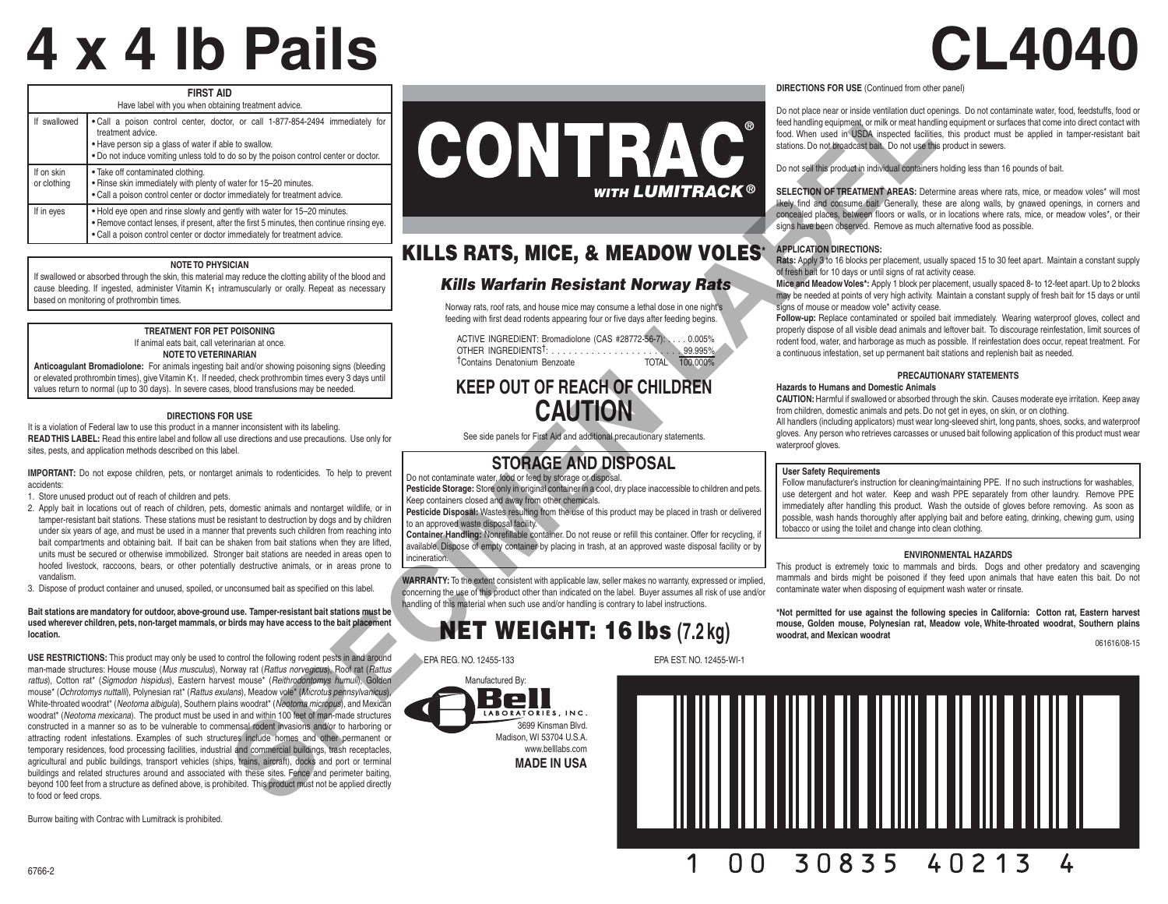# **4 x 4 lb Pails CL4040**

| <b>FIRST AID</b><br>Have label with you when obtaining treatment advice. |                                                                                                                                                                                                                                                        |  |
|--------------------------------------------------------------------------|--------------------------------------------------------------------------------------------------------------------------------------------------------------------------------------------------------------------------------------------------------|--|
| If swallowed                                                             | . Call a poison control center, doctor, or call 1-877-854-2494 immediately for<br>treatment advice.<br>. Have person sip a glass of water if able to swallow.<br>. Do not induce vomiting unless told to do so by the poison control center or doctor. |  |
| If on skin<br>or clothing                                                | . Take off contaminated clothing.<br>. Rinse skin immediately with plenty of water for 15-20 minutes.<br>. Call a poison control center or doctor immediately for treatment advice.                                                                    |  |
| If in eyes                                                               | . Hold eye open and rinse slowly and gently with water for 15-20 minutes.<br>. Remove contact lenses, if present, after the first 5 minutes, then continue rinsing eye.<br>. Call a poison control center or doctor immediately for treatment advice.  |  |

#### **NOTE TO PHYSICIAN**

If swallowed or absorbed through the skin, this material may reduce the clotting ability of the blood and cause bleeding. If ingested, administer Vitamin  $K_1$  intramuscularly or orally. Repeat as necessary based on monitoring of prothrombin times.

#### **TREATMENT FOR PET POISONING** If animal eats bait, call veterinarian at once. **NOTE TO VETERINARIAN**

**Anticoagulant Bromadiolone:** For animals ingesting bait and/or showing poisoning signs (bleeding or elevated prothrombin times), give Vitamin K1. If needed, check prothrombin times every 3 days until values return to normal (up to 30 days). In severe cases, blood transfusions may be needed.

#### **DIRECTIONS FOR USE**

It is a violation of Federal law to use this product in a manner inconsistent with its labeling. **READ THIS LABEL:** Read this entire label and follow all use directions and use precautions. Use only for sites, pests, and application methods described on this label.

**IMPORTANT:** Do not expose children, pets, or nontarget animals to rodenticides. To help to prevent accidents:

- 1. Store unused product out of reach of children and pets.
- 2. Apply bait in locations out of reach of children, pets, domestic animals and nontarget wildlife, or in tamper-resistant bait stations. These stations must be resistant to destruction by dogs and by children under six years of age, and must be used in a manner that prevents such children from reaching into bait compartments and obtaining bait. If bait can be shaken from bait stations when they are lifted, units must be secured or otherwise immobilized. Stronger bait stations are needed in areas open to hoofed livestock, raccoons, bears, or other potentially destructive animals, or in areas prone to vandalism.
- 3. Dispose of product container and unused, spoiled, or unconsumed bait as specified on this label.

#### **Bait stations are mandatory for outdoor, above-ground use. Tamper-resistant bait stations must be used wherever children, pets, non-target mammals, or birds may have access to the bait placement location.**

**USE RESTRICTIONS:** This product may only be used to control the following rodent pests in and around man-made structures: House mouse (*Mus musculus*), Norway rat (*Rattus norvegicus*), Roof rat (*Rattus rattus*), Cotton rat\* (*Sigmodon hispidus*), Eastern harvest mouse\* (*Reithrodontomys humuli*), Golden mouse\* (*Ochrotomys nuttalli*), Polynesian rat\* (*Rattus exulans*), Meadow vole\* (*Microtus pennsylvanicus*), White-throated woodrat\* (*Neotoma albigula*), Southern plains woodrat\* (*Neotoma micropus*), and Mexican woodrat\* (*Neotoma mexicana*). The product must be used in and within 100 feet of man-made structures constructed in a manner so as to be vulnerable to commensal rodent invasions and/or to harboring or attracting rodent infestations. Examples of such structures include homes and other permanent or temporary residences, food processing facilities, industrial and commercial buildings, trash receptacles, agricultural and public buildings, transport vehicles (ships, trains, aircraft), docks and port or terminal buildings and related structures around and associated with these sites. Fence and perimeter baiting, beyond 100 feet from a structure as defined above, is prohibited. This product must not be applied directly to food or feed crops.

Burrow baiting with Contrac with Lumitrack is prohibited.



# KILLS RATS, MICE, & MEADOW VOLES\*

#### *Kills Warfarin Resistant Norway Rats*

Norway rats, roof rats, and house mice may consume a lethal dose in one night's feeding with first dead rodents appearing four or five days after feeding begins.

| ACTIVE INGREDIENT: Bromadiolone (CAS #28772-56-7): 0.005% |  |                |
|-----------------------------------------------------------|--|----------------|
|                                                           |  |                |
| <sup>†</sup> Contains Denatonium Benzoate                 |  | TOTAL 100,000% |

# **KEEP OUT OF REACH OF CHILDREN CAUTION**

## **STORAGE AND DISPOSAL**

Do not contaminate water, food or feed by storage or disposal.

**Pesticide Storage:** Store only in original container in a cool, dry place inaccessible to children and pets. Keep containers closed and away from other chemicals.

**Pesticide Disposal:** Wastes resulting from the use of this product may be placed in trash or delivered to an approved waste disposal facility.

**Container Handling:** Nonrefillable container. Do not reuse or refill this container. Offer for recycling, if available. Dispose of empty container by placing in trash, at an approved waste disposal facility or by incineration.

**WARRANTY:** To the extent consistent with applicable law, seller makes no warranty, expressed or implied, concerning the use of this product other than indicated on the label. Buyer assumes all risk of use and/or handling of this material when such use and/or handling is contrary to label instructions.

# NET WEIGHT: 16 lbs **(7.2 kg)**

EPA REG. NO. 12455-133 EPA EST. NO. 12455-WI-1



**DIRECTIONS FOR USE** (Continued from other panel)

Do not place near or inside ventilation duct openings. Do not contaminate water, food, feedstuffs, food or feed handling equipment, or milk or meat handling equipment or surfaces that come into direct contact with food. When used in USDA inspected facilities, this product must be applied in tamper-resistant bait stations. Do not broadcast bait. Do not use this product in sewers.

Do not sell this product in individual containers holding less than 16 pounds of bait.

**SELECTION OF TREATMENT AREAS:** Determine areas where rats, mice, or meadow voles\* will most likely find and consume bait. Generally, these are along walls, by gnawed openings, in corners and concealed places, between floors or walls, or in locations where rats, mice, or meadow voles\*, or their signs have been observed. Remove as much alternative food as possible.

#### **APPLICATION DIRECTIONS:**

**Rats:** Apply 3 to 16 blocks per placement, usually spaced 15 to 30 feet apart. Maintain a constant supply of fresh bait for 10 days or until signs of rat activity cease.

**Mice and Meadow Voles\*:** Apply 1 block per placement, usually spaced 8- to 12-feet apart. Up to 2 blocks may be needed at points of very high activity. Maintain a constant supply of fresh bait for 15 days or until signs of mouse or meadow vole<sup>\*</sup> activity cease.

**Follow-up:** Replace contaminated or spoiled bait immediately. Wearing waterproof gloves, collect and properly dispose of all visible dead animals and leftover bait. To discourage reinfestation, limit sources of rodent food, water, and harborage as much as possible. If reinfestation does occur, repeat treatment. For a continuous infestation, set up permanent bait stations and replenish bait as needed.

#### **PRECAUTIONARY STATEMENTS**

**Hazards to Humans and Domestic Animals CAUTION:** Harmful if swallowed or absorbed through the skin. Causes moderate eye irritation. Keep away

from children, domestic animals and pets. Do not get in eyes, on skin, or on clothing. All handlers (including applicators) must wear long-sleeved shirt, long pants, shoes, socks, and waterproof gloves. Any person who retrieves carcasses or unused bait following application of this product must wear waterproof gloves.

#### **User Safety Requirements**

Follow manufacturer's instruction for cleaning/maintaining PPE. If no such instructions for washables, use detergent and hot water. Keep and wash PPE separately from other laundry. Remove PPE immediately after handling this product. Wash the outside of gloves before removing. As soon as possible, wash hands thoroughly after applying bait and before eating, drinking, chewing gum, using tobacco or using the toilet and change into clean clothing.

#### **ENVIRONMENTAL HAZARDS**

This product is extremely toxic to mammals and birds. Dogs and other predatory and scavenging mammals and birds might be poisoned if they feed upon animals that have eaten this bait. Do not contaminate water when disposing of equipment wash water or rinsate.

**\*Not permitted for use against the following species in California: Cotton rat, Eastern harvest mouse, Golden mouse, Polynesian rat, Meadow vole, White-throated woodrat, Southern plains woodrat, and Mexican woodrat**

061616/08-15



See side panels for First Aid and additional precautionary statements.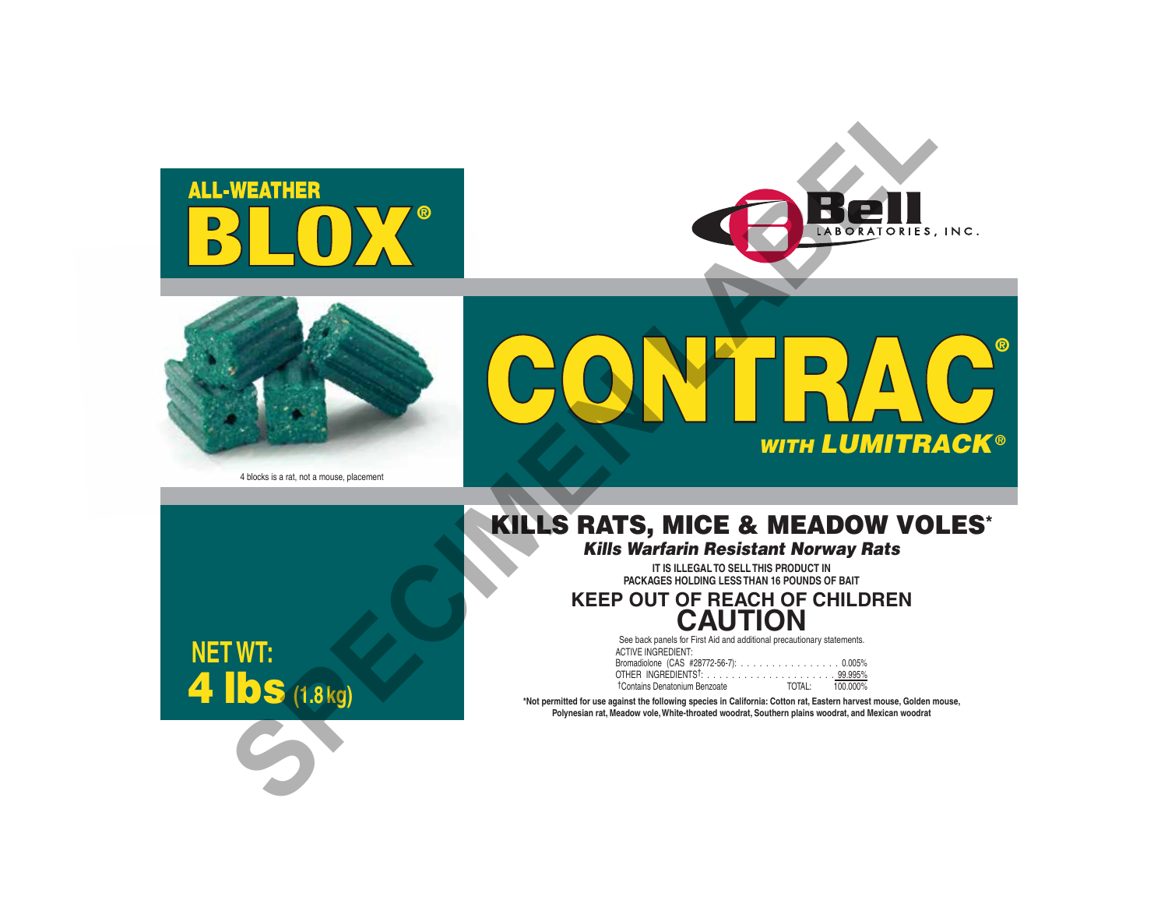





4 blocks is a rat, not a mouse, placement

# ® CONTRA **WITH LUMITRACK<sup>®</sup>** WEATHER<br> **SPECIMEN CONTRACT OF CHILDREN**<br>
KILLS RATS, MICE & MEADOW VOIDER<br>
KEEP OUT OF REACH OF CHILDREN<br>
IDS (1819)

# KILLS RATS, MICE & MEADOW VOLES\*

*Kills Warfarin Resistant Norway Rats*

**IT IS ILLEGAL TO SELL THIS PRODUCT IN PACKAGES HOLDING LESS THAN 16 POUNDS OF BAIT**

**KEEP OUT OF REACH OF CHILDREN CAUTION**

> See back panels for First Aid and additional precautionary statements. ACTIVE INGREDIENT: Bromadiolone (CAS #28772-56-7): . . . . . . . . . . . . . . . . 0.005% OTHER INGREDIENTS†: . . . . . . . . . . . . . . . . . . . . . 99.995% TOTAL: 100.000% †Contains Denatonium Benzoate

**\*Not permitted for use against the following species in California: Cotton rat, Eastern harvest mouse, Golden mouse, Polynesian rat, Meadow vole, White-throated woodrat, Southern plains woodrat, and Mexican woodrat**

**NET WT:** 4 lbs **(1.8 kg)**